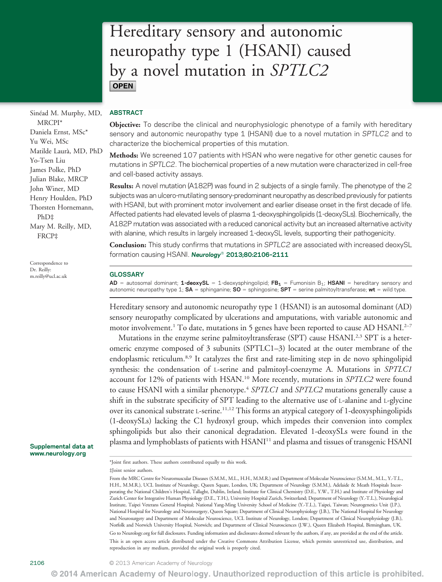# Hereditary sensory and autonomic neuropathy type 1 (HSANI) caused by a novel mutation in SPTLC2 **OPEN**

Sinéad M. Murphy, MD, MRCPI\* Daniela Ernst, MSc\* Yu Wei, MSc Matilde Laurà, MD, PhD Yo-Tsen Liu James Polke, PhD Julian Blake, MRCP John Winer, MD Henry Houlden, PhD Thorsten Hornemann, PhD‡ Mary M. Reilly, MD, FRCP‡

Correspondence to Dr. Reilly: [m.reilly@ucl.ac.uk](mailto:m.reilly@ucl.ac.uk)

#### Supplemental data at [www.neurology.org](http://www.neurology.org)

### ABSTRACT

Objective: To describe the clinical and neurophysiologic phenotype of a family with hereditary sensory and autonomic neuropathy type 1 (HSANI) due to a novel mutation in SPTLC2 and to characterize the biochemical properties of this mutation.

Methods: We screened 107 patients with HSAN who were negative for other genetic causes for mutations in SPTLC2. The biochemical properties of a new mutation were characterized in cell-free and cell-based activity assays.

Results: A novel mutation (A182P) was found in 2 subjects of a single family. The phenotype of the 2 subjects was an ulcero-mutilating sensory-predominant neuropathy as described previously for patients with HSANI, but with prominent motor involvement and earlier disease onset in the first decade of life. Affected patients had elevated levels of plasma 1-deoxysphingolipids (1-deoxySLs). Biochemically, the A182P mutation was associated with a reduced canonical activity but an increased alternative activity with alanine, which results in largely increased 1-deoxySL levels, supporting their pathogenicity.

Conclusion: This study confirms that mutations in SPTLC2 are associated with increased deoxySL formation causing HSANI. Neurology<sup>®</sup> 2013;80:2106-2111

#### GLOSSARY

AD = autosomal dominant; 1-deoxySL = 1-deoxysphingolipid; FB<sub>1</sub> = Fumonisin B<sub>1</sub>; HSANI = hereditary sensory and autonomic neuropathy type 1;  $SA =$  sphinganine;  $SO =$  sphingosine;  $SPT =$  serine palmitoyltransferase; wt = wild type.

Hereditary sensory and autonomic neuropathy type 1 (HSANI) is an autosomal dominant (AD) sensory neuropathy complicated by ulcerations and amputations, with variable autonomic and motor involvement.<sup>1</sup> To date, mutations in 5 genes have been reported to cause AD HSANI.<sup>2-7</sup>

Mutations in the enzyme serine palmitoyltransferase (SPT) cause HSANI.<sup>2,3</sup> SPT is a heteromeric enzyme composed of 3 subunits (SPTLC1–3) located at the outer membrane of the endoplasmic reticulum.8,9 It catalyzes the first and rate-limiting step in de novo sphingolipid synthesis: the condensation of L-serine and palmitoyl-coenzyme A. Mutations in SPTLC1 account for 12% of patients with HSAN.<sup>10</sup> More recently, mutations in SPTLC2 were found to cause HSANI with a similar phenotype.<sup>4</sup> SPTLC1 and SPTLC2 mutations generally cause a shift in the substrate specificity of SPT leading to the alternative use of L-alanine and L-glycine over its canonical substrate L-serine.<sup>11,12</sup> This forms an atypical category of 1-deoxysphingolipids (1-deoxySLs) lacking the C1 hydroxyl group, which impedes their conversion into complex sphingolipids but also their canonical degradation. Elevated 1-deoxySLs were found in the plasma and lymphoblasts of patients with HSANI<sup>11</sup> and plasma and tissues of transgenic HSANI

\*Joint first authors. These authors contributed equally to this work.

<sup>‡</sup>Joint senior authors.

From the MRC Centre for Neuromuscular Diseases (S.M.M., M.L., H.H., M.M.R.) and Department of Molecular Neuroscience (S.M.M., M.L., Y.-T.L., H.H., M.M.R.), UCL Institute of Neurology, Queen Square, London, UK; Department of Neurology (S.M.M.), Adelaide & Meath Hospitals Incorporating the National Children's Hospital, Tallaght, Dublin, Ireland; Institute for Clinical Chemistry (D.E., Y.W., T.H.) and Institute of Physiology and Zurich Center for Integrative Human Physiology (D.E., T.H.), University Hospital Zurich, Switzerland; Department of Neurology (Y.-T.L.), Neurological Institute, Taipei Veterans General Hospital; National Yang-Ming University School of Medicine (Y.-T.L.), Taipei, Taiwan; Neurogenetics Unit (J.P.), National Hospital for Neurology and Neurosurgery, Queen Square; Department of Clinical Neurophysiology (J.B.), The National Hospital for Neurology and Neurosurgery and Department of Molecular Neuroscience, UCL Institute of Neurology, London; Department of Clinical Neurophysiology (J.B.), Norfolk and Norwich University Hospital, Norwich; and Department of Clinical Neurosciences (J.W.), Queen Elizabeth Hospital, Birmingham, UK. Go to [Neurology.org](http://neurology.org/) for full disclosures. Funding information and disclosures deemed relevant by the authors, if any, are provided at the end of the article. This is an open access article distributed under the Creative Commons Attribution License, which permits unrestricted use, distribution, and reproduction in any medium, provided the original work is properly cited.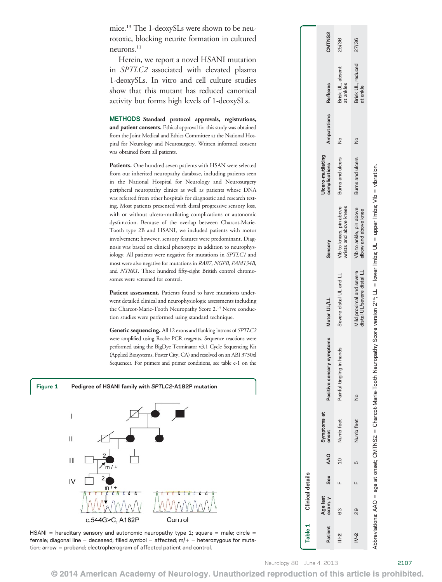mice.13 The 1-deoxySLs were shown to be neurotoxic, blocking neurite formation in cultured neurons.<sup>11</sup>

Herein, we report a novel HSANI mutation in SPTLC2 associated with elevated plasma 1-deoxySLs. In vitro and cell culture studies show that this mutant has reduced canonical activity but forms high levels of 1-deoxySLs.

METHODS Standard protocol approvals, registrations, and patient consents. Ethical approval for this study was obtained from the Joint Medical and Ethics Committee at the National Hospital for Neurology and Neurosurgery. Written informed consent was obtained from all patients.

Patients. One hundred seven patients with HSAN were selected from our inherited neuropathy database, including patients seen in the National Hospital for Neurology and Neurosurgery peripheral neuropathy clinics as well as patients whose DNA was referred from other hospitals for diagnostic and research testing. Most patients presented with distal progressive sensory loss, with or without ulcero-mutilating complications or autonomic dysfunction. Because of the overlap between Charcot-Marie-Tooth type 2B and HSANI, we included patients with motor involvement; however, sensory features were predominant. Diagnosis was based on clinical phenotype in addition to neurophysiology. All patients were negative for mutations in SPTLC1 and most were also negative for mutations in RAB7, NGFB, FAM134B, and NTRK1. Three hundred fifty-eight British control chromosomes were screened for control.

Patient assessment. Patients found to have mutations underwent detailed clinical and neurophysiologic assessments including the Charcot-Marie-Tooth Neuropathy Score 2.<sup>14</sup> Nerve conduction studies were performed using standard technique.

Genetic sequencing. All 12 exons and flanking introns of SPTLC2 were amplified using Roche PCR reagents. Sequence reactions were performed using the BigDye Terminator v3.1 Cycle Sequencing Kit (Applied Biosystems, Foster City, CA) and resolved on an ABI 3730xl Sequencer. For primers and primer conditions, see table e-1 on the





|                        |         | Table 1 Clinical details |     |            |                      |                                                                                                                                                    |                                                        |                                                   |                                    |               |                               |        |
|------------------------|---------|--------------------------|-----|------------|----------------------|----------------------------------------------------------------------------------------------------------------------------------------------------|--------------------------------------------------------|---------------------------------------------------|------------------------------------|---------------|-------------------------------|--------|
|                        | Patient | Age last<br>exam, y      | Sex | <b>AAO</b> | Symptoms at<br>onset | symptoms<br>Positive sensory                                                                                                                       | Motor UL/LL                                            | Sensory                                           | Jlcero-mutilating<br>complications | Amputations   | Reflexes                      | CMTNS2 |
| $\stackrel{2}{\equiv}$ |         | 63                       | Щ   | 10         | Numb feet            | Painful tingling in hands                                                                                                                          | Severe distal UL and LL                                | Vib to knees, pin above<br>wrists and above knees | Burns and ulcers                   | ž             | Brisk UL, absent<br>at ankles | 25/36  |
| $N-2$                  |         | ၛ                        |     | Б          | Numb feet            | ž                                                                                                                                                  | distal UL/severe distal LL<br>Mild proximal and severe | Vib to ankle, pin above<br>elbow and above knee   | Burns and ulcers                   | $\frac{1}{2}$ | Brisk UL, reduced<br>at ankle | 27/36  |
|                        |         |                          |     |            |                      | Abbreviations: AAO = age at onset; CMTNS2 = Charcot-Marie-Tooth Neuropathy Score version 2*4; LL = lower limbs; UL = upper limbs; Vib = vibration. |                                                        |                                                   |                                    |               |                               |        |

© 2014 American Academy of Neurology. Unauthorized reproduction of this article is prohibited.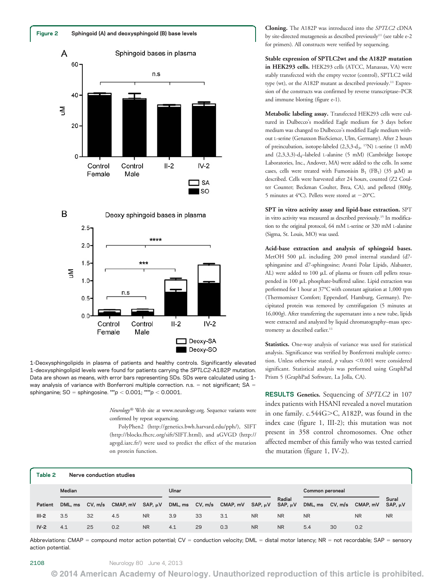





1-Deoxysphingolipids in plasma of patients and healthy controls. Significantly elevated 1-deoxysphingolipid levels were found for patients carrying the SPTLC2-A182P mutation. Data are shown as means, with error bars representing SDs. SDs were calculated using 1 way analysis of variance with Bonferroni multiple correction. n.s.  $=$  not significant; SA  $=$ sphinganine;  $SO =$  sphingosine. \*\*\*p  $<$  0.001; \*\*\*\*p  $<$  0.0001.

> Neurology® Web site at [www.neurology.org](http://www.neurology.org). Sequence variants were confirmed by repeat sequencing.

> PolyPhen2 ([http://genetics.bwh.harvard.edu/pph/\)](http://genetics.bwh.harvard.edu/pph/), SIFT (<http://blocks.fhcrc.org/sift/SIFT.html>), and aGVGD ([http://](http://agvgd.iarc.fr/) [agvgd.iarc.fr/](http://agvgd.iarc.fr/)) were used to predict the effect of the mutation on protein function.

Cloning. The A182P was introduced into the SPTLC2 cDNA by site-directed mutagenesis as described previously<sup>11</sup> (see table e-2 for primers). All constructs were verified by sequencing.

Stable expression of SPTLC2wt and the A182P mutation in HEK293 cells. HEK293 cells (ATCC, Manassas, VA) were stably transfected with the empty vector (control), SPTLC2 wild type (wt), or the A182P mutant as described previously.11 Expression of the constructs was confirmed by reverse transcriptase–PCR and immune blotting (figure e-1).

Metabolic labeling assay. Transfected HEK293 cells were cultured in Dulbecco's modified Eagle medium for 3 days before medium was changed to Dulbecco's modified Eagle medium without L-serine (Genaxxon BioScience, Ulm, Germany). After 2 hours of preincubation, isotope-labeled (2,3,3-d3, 15N) L-serine (1 mM) and  $(2,3,3,3)$ -d<sub>4</sub>-labeled L-alanine  $(5 \text{ mM})$  (Cambridge Isotope Laboratories, Inc., Andover, MA) were added to the cells. In some cases, cells were treated with Fumonisin  $B_1$  (FB<sub>1</sub>) (35  $\mu$ M) as described. Cells were harvested after 24 hours, counted (Z2 Coulter Counter; Beckman Coulter, Brea, CA), and pelleted (800g, 5 minutes at 4°C). Pellets were stored at  $-20^{\circ}$ C.

SPT in vitro activity assay and lipid-base extraction. SPT in vitro activity was measured as described previously.15 In modification to the original protocol, 64 mM L-serine or 320 mM L-alanine (Sigma, St. Louis, MO) was used.

Acid-base extraction and analysis of sphingoid bases. MetOH 500 µL including 200 pmol internal standard (d7sphinganine and d7-sphingosine; Avanti Polar Lipids, Alabaster, AL) were added to 100  $\mu$ L of plasma or frozen cell pellets resuspended in 100 mL phosphate-buffered saline. Lipid extraction was performed for 1 hour at 37°C with constant agitation at 1,000 rpm (Thermomixer Comfort; Eppendorf, Hamburg, Germany). Precipitated protein was removed by centrifugation (5 minutes at 16,000g). After transferring the supernatant into a new tube, lipids were extracted and analyzed by liquid chromatography–mass spectrometry as described earlier.<sup>11</sup>

Statistics. One-way analysis of variance was used for statistical analysis. Significance was verified by Bonferroni multiple correction. Unless otherwise stated,  $p$  values <0.001 were considered significant. Statistical analysis was performed using GraphPad Prism 5 (GraphPad Software, La Jolla, CA).

RESULTS Genetics. Sequencing of SPTLC2 in 107 index patients with HSANI revealed a novel mutation in one family. c.544G>C, A182P, was found in the index case (figure 1, III-2); this mutation was not present in 358 control chromosomes. One other affected member of this family who was tested carried the mutation (figure 1, IV-2).

| Table 2 |         |         | Nerve conduction studies |              |       |    |                                           |           |                        |                 |         |           |                       |
|---------|---------|---------|--------------------------|--------------|-------|----|-------------------------------------------|-----------|------------------------|-----------------|---------|-----------|-----------------------|
|         | Median  |         |                          |              | Ulnar |    |                                           |           |                        | Common peroneal |         |           |                       |
| Patient | DML, ms | CV, m/s | CMAP, mV                 | SAP, $\mu$ V |       |    | DML, ms $CV, m/s$ CMAP, $mV$ SAP, $\mu V$ |           | Radial<br>SAP, $\mu$ V | DML, ms         | CV, m/s | CMAP, mV  | Sural<br>$SAP. \mu V$ |
| $III-2$ | 3.5     | 32      | 4.5                      | <b>NR</b>    | 3.9   | 33 | 3.1                                       | <b>NR</b> | <b>NR</b>              | <b>NR</b>       |         | <b>NR</b> | <b>NR</b>             |
| $IV-2$  | 4.1     | 25      | 0.2                      | <b>NR</b>    | 4.1   | 29 | 0.3                                       | <b>NR</b> | <b>NR</b>              | 5.4             | 30      | 0.2       |                       |

Abbreviations: CMAP = compound motor action potential; CV = conduction velocity; DML = distal motor latency; NR = not recordable; SAP = sensory action potential.

2108 Neurology 80 June 4, 2013

© 2014 American Academy of Neurology. Unauthorized reproduction of this article is prohibited.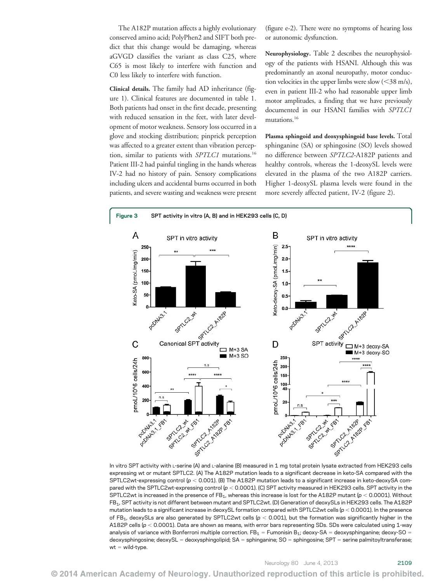The A182P mutation affects a highly evolutionary conserved amino acid; PolyPhen2 and SIFT both predict that this change would be damaging, whereas aGVGD classifies the variant as class C25, where C65 is most likely to interfere with function and C0 less likely to interfere with function.

Clinical details. The family had AD inheritance (figure 1). Clinical features are documented in table 1. Both patients had onset in the first decade, presenting with reduced sensation in the feet, with later development of motor weakness. Sensory loss occurred in a glove and stocking distribution; pinprick perception was affected to a greater extent than vibration perception, similar to patients with SPTLC1 mutations.<sup>16</sup> Patient III-2 had painful tingling in the hands whereas IV-2 had no history of pain. Sensory complications including ulcers and accidental burns occurred in both patients, and severe wasting and weakness were present (figure e-2). There were no symptoms of hearing loss or autonomic dysfunction.

Neurophysiology. Table 2 describes the neurophysiology of the patients with HSANI. Although this was predominantly an axonal neuropathy, motor conduction velocities in the upper limbs were slow  $(<$ 38 m/s), even in patient III-2 who had reasonable upper limb motor amplitudes, a finding that we have previously documented in our HSANI families with SPTLC1 mutations.16

Plasma sphingoid and deoxysphingoid base levels. Total sphinganine (SA) or sphingosine (SO) levels showed no difference between SPTLC2-A182P patients and healthy controls, whereas the 1-deoxySL levels were elevated in the plasma of the two A182P carriers. Higher 1-deoxySL plasma levels were found in the more severely affected patient, IV-2 (figure 2).



In vitro SPT activity with L-serine (A) and L-alanine (B) measured in 1 mg total protein lysate extracted from HEK293 cells expressing wt or mutant SPTLC2. (A) The A182P mutation leads to a significant decrease in keto-SA compared with the SPTLC2wt-expressing control ( $p < 0.001$ ). (B) The A182P mutation leads to a significant increase in keto-deoxySA compared with the SPTLC2wt-expressing control ( $p < 0.0001$ ). (C) SPT activity measured in HEK293 cells. SPT activity in the SPTLC2wt is increased in the presence of  $FB_1$ , whereas this increase is lost for the A182P mutant ( $p < 0.0001$ ). Without FB1, SPT activity is not different between mutant and SPTLC2wt. (D) Generation of deoxySLs in HEK293 cells. The A182P mutation leads to a significant increase in deoxySL formation compared with SPTLC2wt cells ( $p < 0.0001$ ). In the presence of FB<sub>1</sub>, deoxySLs are also generated by SPTLC2wt cells ( $p < 0.001$ ), but the formation was significantly higher in the A182P cells ( $p < 0.0001$ ). Data are shown as means, with error bars representing SDs. SDs were calculated using 1-way analysis of variance with Bonferroni multiple correction. FB<sub>1</sub> = Fumonisin B<sub>1</sub>; deoxy-SA = deoxysphinganine; deoxy-SO = deoxysphingosine; deoxySL = deoxysphingolipid; SA = sphinganine; SO = sphingosine; SPT = serine palmitoyltransferase;  $wt = wild-type.$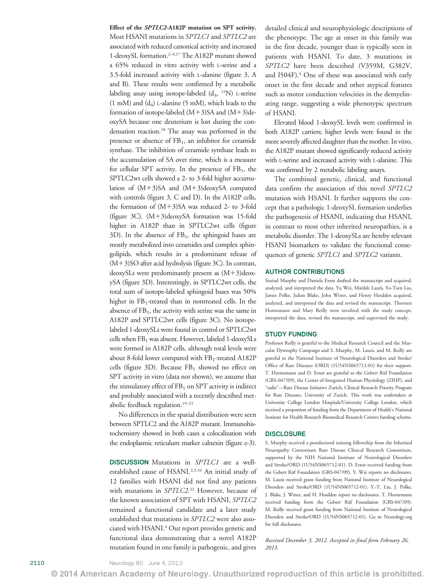Effect of the SPTLC2-A182P mutation on SPT activity. Most HSANI mutations in SPTLC1 and SPTLC2 are associated with reduced canonical activity and increased 1-deoxySL formation.2–4,17 The A182P mutant showed a 65% reduced in vitro activity with L-serine and a 3.5-fold increased activity with L-alanine (figure 3, A and B). These results were confirmed by a metabolic labeling assay using isotope-labeled  $(d_3, 15N)$  L-serine  $(1 \text{ mM})$  and  $(d_4)$  L-alanine  $(5 \text{ mM})$ , which leads to the formation of isotope-labeled  $(M+3)SA$  and  $(M+3)de$ oxySA because one deuterium is lost during the condensation reaction.18 The assay was performed in the presence or absence of  $FB<sub>1</sub>$ , an inhibitor for ceramide synthase. The inhibition of ceramide synthase leads to the accumulation of SA over time, which is a measure for cellular SPT activity. In the presence of  $FB<sub>1</sub>$ , the SPTLC2wt cells showed a 2- to 3-fold higher accumulation of  $(M+3)SA$  and  $(M+3)deoxySA$  compared with controls (figure 3, C and D). In the A182P cells, the formation of  $(M+3)SA$  was reduced 2- to 3-fold (figure 3C).  $(M+3)$ deoxySA formation was 15-fold higher in A182P than in SPTLC2wt cells (figure  $3D$ ). In the absence of  $FB<sub>1</sub>$ , the sphingoid bases are mostly metabolized into ceramides and complex sphingolipids, which results in a predominant release of  $(M+3)$ SO after acid hydrolysis (figure 3C). In contrast, deoxySLs were predominantly present as  $(M+3)$ deoxySA (figure 3D). Interestingly, in SPTLC2wt cells, the total sum of isotope-labeled sphingoid bases was 50% higher in FB<sub>1</sub>-treated than in nontreated cells. In the absence of  $FB<sub>1</sub>$ , the activity with serine was the same in A182P and SPTLC2wt cells (figure 3C). No isotopelabeled 1-deoxySLs were found in control or SPTLC2wt cells when  $FB<sub>1</sub>$  was absent. However, labeled 1-deoxySLs were formed in A182P cells, although total levels were about 8-fold lower compared with FB<sub>1</sub>-treated A182P cells (figure 3D). Because  $FB<sub>1</sub>$  showed no effect on SPT activity in vitro (data not shown), we assume that the stimulatory effect of  $FB<sub>1</sub>$  on SPT activity is indirect and probably associated with a recently described metabolic feedback regulation.19–<sup>21</sup>

No differences in the spatial distribution were seen between SPTLC2 and the A182P mutant. Immunohistochemistry showed in both cases a colocalization with the endoplasmic reticulum marker calnexin (figure e-3).

DISCUSSION Mutations in SPTLC1 are a wellestablished cause of HSANI.2,3,16 An initial study of 12 families with HSANI did not find any patients with mutations in SPTLC2.<sup>22</sup> However, because of the known association of SPT with HSANI, SPTLC2 remained a functional candidate and a later study established that mutations in SPTLC2 were also associated with HSANI.<sup>4</sup> Our report provides genetic and functional data demonstrating that a novel A182P mutation found in one family is pathogenic, and gives

detailed clinical and neurophysiologic descriptions of the phenotype. The age at onset in this family was in the first decade, younger than is typically seen in patients with HSANI. To date, 3 mutations in SPTLC2 have been described (V359M, G382V, and I504F).<sup>4</sup> One of these was associated with early onset in the first decade and other atypical features such as motor conduction velocities in the demyelinating range, suggesting a wide phenotypic spectrum of HSANI.

Elevated blood 1-deoxySL levels were confirmed in both A182P carriers; higher levels were found in the more severely affected daughter than the mother. In vitro, the A182P mutant showed significantly reduced activity with L-serine and increased activity with L-alanine. This was confirmed by 2 metabolic labeling assays.

The combined genetic, clinical, and functional data confirm the association of this novel SPTLC2 mutation with HSANI. It further supports the concept that a pathologic 1-deoxySL formation underlies the pathogenesis of HSANI, indicating that HSANI, in contrast to most other inherited neuropathies, is a metabolic disorder. The 1-deoxySLs are hereby relevant HSANI biomarkers to validate the functional consequences of genetic SPTLC1 and SPTLC2 variants.

#### AUTHOR CONTRIBUTIONS

Sinéad Murphy and Daniela Ernst drafted the manuscript and acquired, analyzed, and interpreted the data. Yu Wei, Matilde Laurà, Yo-Tsen Liu, James Polke, Julian Blake, John Winer, and Henry Houlden acquired, analyzed, and interpreted the data and revised the manuscript. Thorsten Hornemann and Mary Reilly were involved with the study concept, interpreted the data, revised the manuscript, and supervised the study.

#### STUDY FUNDING

Professor Reilly is grateful to the Medical Research Council and the Muscular Dystrophy Campaign and S. Murphy, M. Laurà, and M. Reilly are grateful to the National Institute of Neurological Disorders and Stroke/ Office of Rare Diseases (ORD) (1U54NS065712-01) for their support. T. Hornemann and D. Ernst are grateful to the Gebert Rüf Foundation (GRS-047/09), the Center of Integrated Human Physiology (ZIHP), and "radiz"—Rare Disease Initiative Zurich, Clinical Research Priority Program for Rare Diseases, University of Zurich. This work was undertaken at University College London Hospitals/University College London, which received a proportion of funding from the Department of Health's National Institute for Health Research Biomedical Research Centres funding scheme.

#### **DISCLOSURE**

S. Murphy received a postdoctoral training fellowship from the Inherited Neuropathy Consortium Rare Disease Clinical Research Consortium, supported by the NIH National Institute of Neurological Disorders and Stroke/ORD (1U54NS065712-01). D. Ernst received funding from the Gebert Rüf Foundation (GRS-047/09). Y. Wei reports no disclosures. M. Laurà received grant funding from National Institute of Neurological Disorders and Stroke/ORD (1U54NS065712-01). Y.-T. Liu, J. Polke, J. Blake, J. Winer, and H. Houlden report no disclosures. T. Hornemann received funding from the Gebert Rüf Foundation (GRS-047/09). M. Reilly received grant funding from National Institute of Neurological Disorders and Stroke/ORD (1U54NS065712-01). Go to [Neurology.org](http://neurology.org/) for full disclosures.

Received December 3, 2012. Accepted in final form February 26, 2013.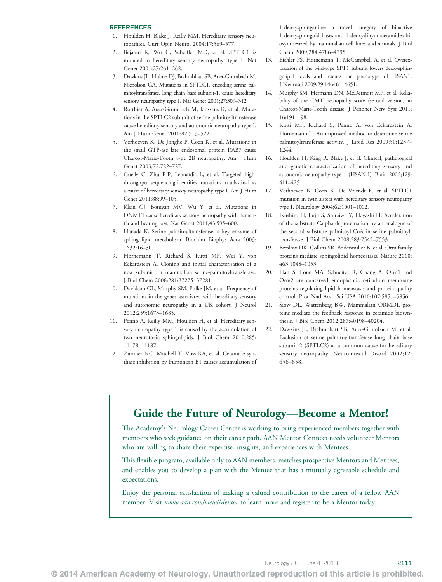#### **REFERENCES**

- 1. Houlden H, Blake J, Reilly MM. Hereditary sensory neuropathies. Curr Opin Neurol 2004;17:569–577.
- 2. Bejaoui K, Wu C, Scheffler MD, et al. SPTLC1 is mutated in hereditary sensory neuropathy, type 1. Nat Genet 2001;27:261–262.
- 3. Dawkins JL, Hulme DJ, Brahmbhatt SB, Auer-Grumbach M, Nicholson GA. Mutations in SPTLC1, encoding serine palmitoyltransferase, long chain base subunit-1, cause hereditary sensory neuropathy type I. Nat Genet 2001;27:309-312.
- 4. Rotthier A, Auer-Grumbach M, Janssens K, et al. Mutations in the SPTLC2 subunit of serine palmitoyltransferase cause hereditary sensory and autonomic neuropathy type I. Am J Hum Genet 2010;87:513–522.
- 5. Verhoeven K, De Jonghe P, Coen K, et al. Mutations in the small GTP-ase late endosomal protein RAB7 cause Charcot-Marie-Tooth type 2B neuropathy. Am J Hum Genet 2003;72:722–727.
- 6. Guelly C, Zhu P-P, Leonardis L, et al. Targeted highthroughput sequencing identifies mutations in atlastin-1 as a cause of hereditary sensory neuropathy type I. Am J Hum Genet 2011;88:99–105.
- 7. Klein CJ, Botuyan MV, Wu Y, et al. Mutations in DNMT1 cause hereditary sensory neuropathy with dementia and hearing loss. Nat Genet 2011;43:595–600.
- 8. Hanada K. Serine palmitoyltransferase, a key enzyme of sphingolipid metabolism. Biochim Biophys Acta 2003; 1632:16–30.
- 9. Hornemann T, Richard S, Rutti MF, Wei Y, von Eckardstein A. Cloning and initial characterisation of a new subunit for mammalian serine-palmitoyltransferase. J Biol Chem 2006;281:37275–37281.
- 10. Davidson GL, Murphy SM, Polke JM, et al. Frequency of mutations in the genes associated with hereditary sensory and autonomic neuropathy in a UK cohort. J Neurol 2012;259:1673–1685.
- 11. Penno A, Reilly MM, Houlden H, et al. Hereditary sensory neuropathy type 1 is caused by the accumulation of two neurotoxic sphingolipids. J Biol Chem 2010;285: 11178–11187.
- 12. Zitomer NC, Mitchell T, Voss KA, et al. Ceramide synthase inhibition by Fumonisin B1 causes accumulation of

1-deoxysphinganine: a novel category of bioactive 1-deoxysphingoid bases and 1-deoxydihydroceramides biosynthesized by mammalian cell lines and animals. J Biol Chem 2009;284:4786–4795.

- 13. Eichler FS, Hornemann T, McCampbell A, et al. Overexpression of the wild-type SPT1 subunit lowers deoxysphingolipid levels and rescues the phenotype of HSAN1. J Neurosci 2009;29:14646–14651.
- 14. Murphy SM, Hermann DN, McDermott MP, et al. Reliability of the CMT neuropathy score (second version) in Charcot-Marie-Tooth disease. J Peripher Nerv Syst 2011; 16:191–198.
- 15. Rütti MF, Richard S, Penno A, von Eckardstein A, Hornemann T. An improved method to determine serine palmitoyltransferase activity. J Lipid Res 2009;50:1237– 1244.
- 16. Houlden H, King R, Blake J, et al. Clinical, pathological and genetic characterization of hereditary sensory and autonomic neuropathy type 1 (HSAN I). Brain 2006;129: 411–425.
- 17. Verhoeven K, Coen K, De Vriendt E, et al. SPTLC1 mutation in twin sisters with hereditary sensory neuropathy type I. Neurology 2004;62:1001–1002.
- 18. Ikushiro H, Fujii S, Shiraiwa Y, Hayashi H. Acceleration of the substrate Calpha deproteination by an analogue of the second substrate palmitoyl-CoA in serine palmitoyltransferase. J Biol Chem 2008;283:7542–7553.
- 19. Breslow DK, Collins SR, Bodenmiller B, et al. Orm family proteins mediate sphingolipid homeostasis. Nature 2010; 463:1048–1053.
- 20. Han S, Lone MA, Schneiter R, Chang A. Orm1 and Orm2 are conserved endoplasmic reticulum membrane proteins regulating lipid homeostasis and protein quality control. Proc Natl Acad Sci USA 2010;107:5851–5856.
- 21. Siow DL, Wattenberg BW. Mammalian ORMDL proteins mediate the feedback response in ceramide biosynthesis. J Biol Chem 2012;287:40198–40204.
- 22. Dawkins JL, Brahmbhatt SB, Auer-Grumbach M, et al. Exclusion of serine palmitoyltransferase long chain base subunit 2 (SPTLC2) as a common cause for hereditary sensory neuropathy. Neuromuscul Disord 2002;12: 656–658.

# Guide the Future of Neurology—Become a Mentor!

The Academy's Neurology Career Center is working to bring experienced members together with members who seek guidance on their career path. AAN Mentor Connect needs volunteer Mentors who are willing to share their expertise, insights, and experiences with Mentees.

This flexible program, available only to AAN members, matches prospective Mentors and Mentees, and enables you to develop a plan with the Mentee that has a mutually agreeable schedule and expectations.

Enjoy the personal satisfaction of making a valued contribution to the career of a fellow AAN member. Visit [www.aan.com/view/Mentor](http://www.aan.com/view/Mentor) to learn more and register to be a Mentor today.